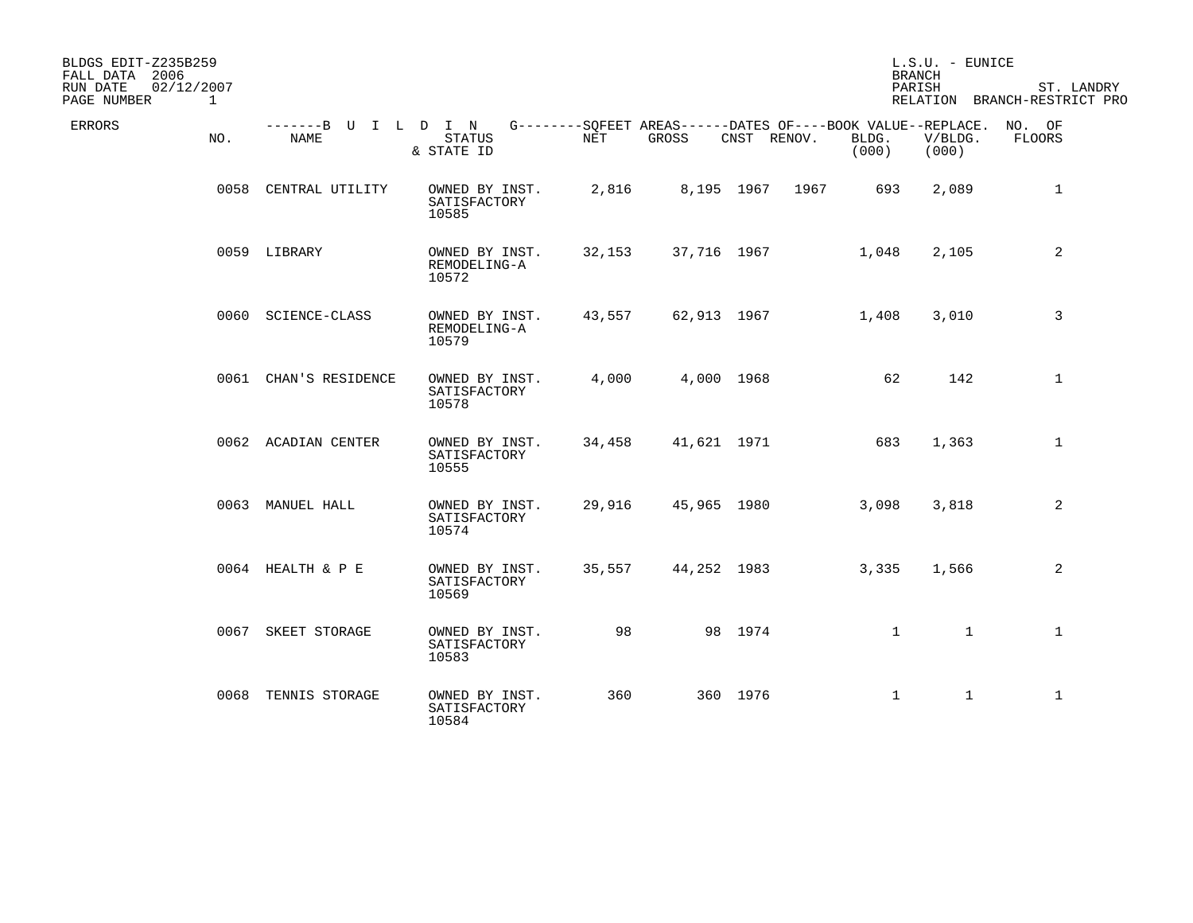| BLDGS EDIT-Z235B259<br>FALL DATA 2006                 |                              |                                         |            |             |             |                                                                                      | L.S.U. - EUNICE<br><b>BRANCH</b> |                                            |
|-------------------------------------------------------|------------------------------|-----------------------------------------|------------|-------------|-------------|--------------------------------------------------------------------------------------|----------------------------------|--------------------------------------------|
| 02/12/2007<br>RUN DATE<br>PAGE NUMBER<br>$\mathbf{1}$ |                              |                                         |            |             |             |                                                                                      | PARISH                           | ST. LANDRY<br>RELATION BRANCH-RESTRICT PRO |
| ERRORS<br>NO.                                         | -------B U I L D I N<br>NAME | <b>STATUS</b><br>& STATE ID             | <b>NET</b> | GROSS       | CNST RENOV. | G--------SOFEET AREAS------DATES OF----BOOK VALUE--REPLACE. NO. OF<br>BLDG.<br>(000) | V/BLDG.<br>(000)                 | FLOORS                                     |
|                                                       | 0058 CENTRAL UTILITY         | OWNED BY INST.<br>SATISFACTORY<br>10585 | 2,816      |             | 8,195 1967  | 693<br>1967                                                                          | 2,089                            | 1                                          |
|                                                       | 0059 LIBRARY                 | OWNED BY INST.<br>REMODELING-A<br>10572 | 32,153     | 37,716 1967 |             | 1,048                                                                                | 2,105                            | 2                                          |
|                                                       | 0060 SCIENCE-CLASS           | OWNED BY INST.<br>REMODELING-A<br>10579 | 43,557     | 62,913 1967 |             | 1,408                                                                                | 3,010                            | 3                                          |
|                                                       | 0061 CHAN'S RESIDENCE        | OWNED BY INST.<br>SATISFACTORY<br>10578 | 4,000      |             | 4,000 1968  | 62                                                                                   | 142                              | $\mathbf 1$                                |
|                                                       | 0062 ACADIAN CENTER          | OWNED BY INST.<br>SATISFACTORY<br>10555 | 34,458     | 41,621 1971 |             | 683                                                                                  | 1,363                            | $\mathbf{1}$                               |
|                                                       | 0063 MANUEL HALL             | OWNED BY INST.<br>SATISFACTORY<br>10574 | 29,916     | 45,965 1980 |             | 3,098                                                                                | 3,818                            | 2                                          |
|                                                       | 0064 HEALTH & P E            | OWNED BY INST.<br>SATISFACTORY<br>10569 | 35,557     | 44,252 1983 |             | 3,335                                                                                | 1,566                            | 2                                          |
| 0067                                                  | SKEET STORAGE                | OWNED BY INST.<br>SATISFACTORY<br>10583 | 98         |             | 98 1974     | $\mathbf{1}$                                                                         | $\mathbf{1}$                     | $\mathbf{1}$                               |
|                                                       | 0068 TENNIS STORAGE          | OWNED BY INST.<br>SATISFACTORY<br>10584 | 360        |             | 360 1976    | $\mathbf 1$                                                                          | $\mathbf{1}$                     | $\mathbf{1}$                               |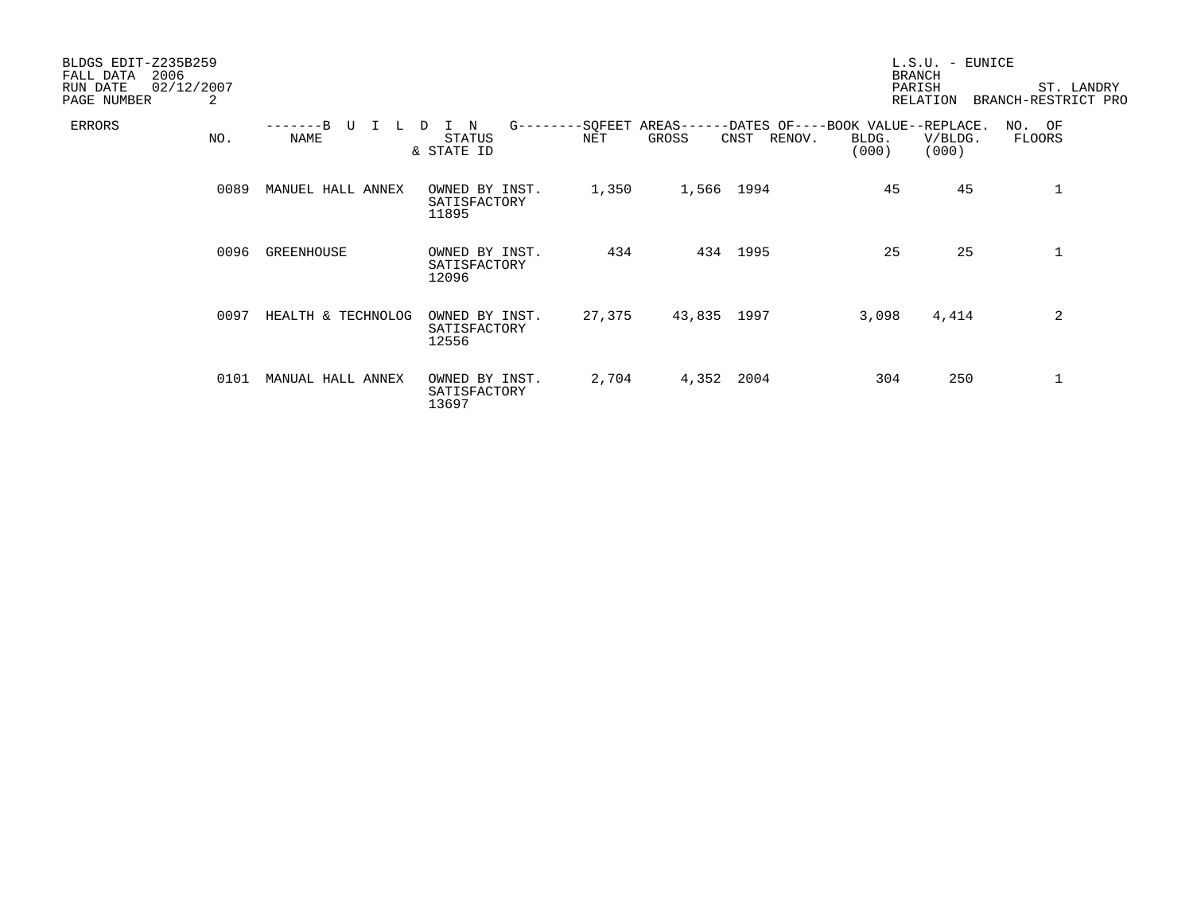| BLDGS EDIT-Z235B259<br>2006<br>FALL DATA<br>RUN DATE<br>02/12/2007<br>PAGE NUMBER | 2    |                    |                                            |        |             |                                                                       |                | $L.S.U. - EUNICE$<br><b>BRANCH</b><br>PARISH<br>RELATION | ST. LANDRY<br>BRANCH-RESTRICT PRO |
|-----------------------------------------------------------------------------------|------|--------------------|--------------------------------------------|--------|-------------|-----------------------------------------------------------------------|----------------|----------------------------------------------------------|-----------------------------------|
| <b>ERRORS</b>                                                                     | NO.  | <b>NAME</b>        | I N<br>$G$ -------<br>STATUS<br>& STATE ID | NET    | GROSS       | -SQFEET AREAS------DATES OF----BOOK VALUE--REPLACE.<br>CNST<br>RENOV. | BLDG.<br>(000) | V/BLDG.<br>(000)                                         | NO. OF<br><b>FLOORS</b>           |
|                                                                                   | 0089 | MANUEL HALL ANNEX  | OWNED BY INST.<br>SATISFACTORY<br>11895    | 1,350  | 1,566 1994  |                                                                       | 45             | 45                                                       | 1                                 |
|                                                                                   | 0096 | GREENHOUSE         | OWNED BY INST.<br>SATISFACTORY<br>12096    | 434    |             | 434 1995                                                              | 25             | 25                                                       | 1                                 |
|                                                                                   | 0097 | HEALTH & TECHNOLOG | OWNED BY INST.<br>SATISFACTORY<br>12556    | 27,375 | 43,835 1997 |                                                                       | 3,098          | 4,414                                                    | 2                                 |
|                                                                                   | 0101 | MANUAL HALL ANNEX  | OWNED BY INST.<br>SATISFACTORY<br>13697    | 2,704  | 4,352       | 2004                                                                  | 304            | 250                                                      | 1                                 |